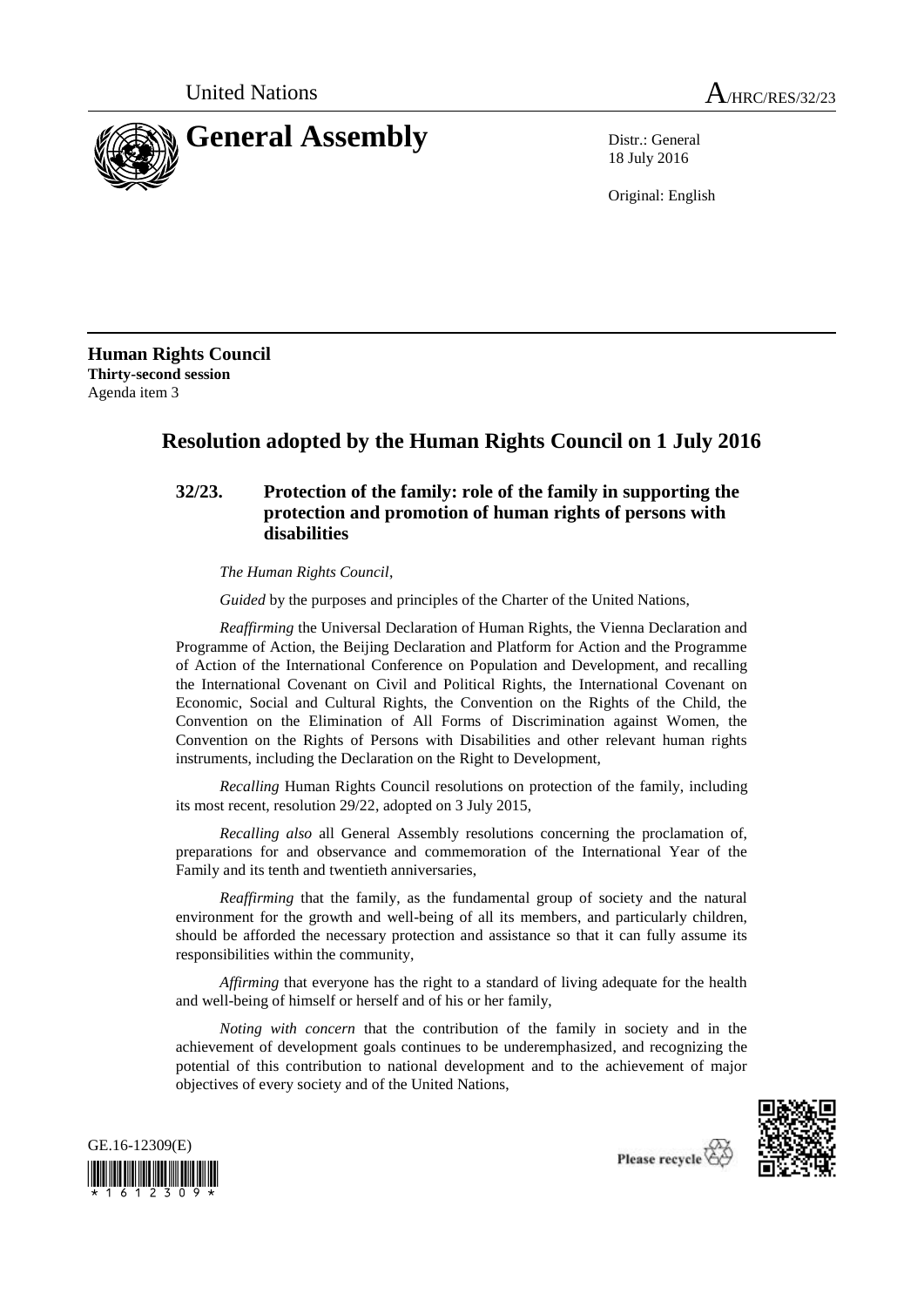

18 July 2016

Original: English

**Human Rights Council Thirty-second session** Agenda item 3

## **Resolution adopted by the Human Rights Council on 1 July 2016**

## **32/23. Protection of the family: role of the family in supporting the protection and promotion of human rights of persons with disabilities**

*The Human Rights Council*,

*Guided* by the purposes and principles of the Charter of the United Nations,

*Reaffirming* the Universal Declaration of Human Rights, the Vienna Declaration and Programme of Action, the Beijing Declaration and Platform for Action and the Programme of Action of the International Conference on Population and Development, and recalling the International Covenant on Civil and Political Rights, the International Covenant on Economic, Social and Cultural Rights, the Convention on the Rights of the Child, the Convention on the Elimination of All Forms of Discrimination against Women, the Convention on the Rights of Persons with Disabilities and other relevant human rights instruments, including the Declaration on the Right to Development,

*Recalling* Human Rights Council resolutions on protection of the family, including its most recent, resolution 29/22, adopted on 3 July 2015,

*Recalling also* all General Assembly resolutions concerning the proclamation of, preparations for and observance and commemoration of the International Year of the Family and its tenth and twentieth anniversaries,

*Reaffirming* that the family, as the fundamental group of society and the natural environment for the growth and well-being of all its members, and particularly children, should be afforded the necessary protection and assistance so that it can fully assume its responsibilities within the community,

*Affirming* that everyone has the right to a standard of living adequate for the health and well-being of himself or herself and of his or her family,

*Noting with concern* that the contribution of the family in society and in the achievement of development goals continues to be underemphasized, and recognizing the potential of this contribution to national development and to the achievement of major objectives of every society and of the United Nations,





Please recycle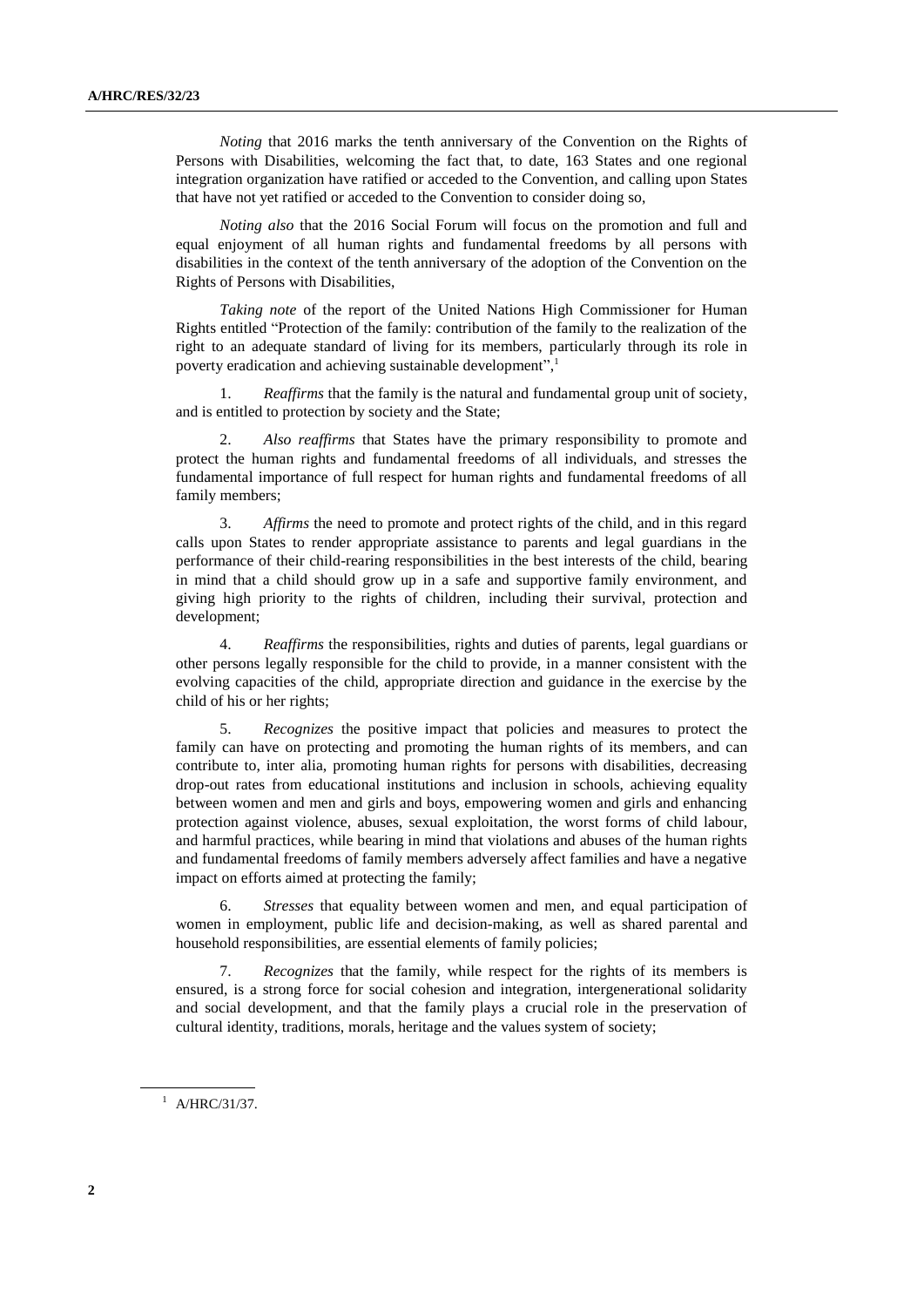*Noting* that 2016 marks the tenth anniversary of the Convention on the Rights of Persons with Disabilities, welcoming the fact that, to date, 163 States and one regional integration organization have ratified or acceded to the Convention, and calling upon States that have not yet ratified or acceded to the Convention to consider doing so,

*Noting also* that the 2016 Social Forum will focus on the promotion and full and equal enjoyment of all human rights and fundamental freedoms by all persons with disabilities in the context of the tenth anniversary of the adoption of the Convention on the Rights of Persons with Disabilities,

*Taking note* of the report of the United Nations High Commissioner for Human Rights entitled "Protection of the family: contribution of the family to the realization of the right to an adequate standard of living for its members, particularly through its role in poverty eradication and achieving sustainable development",

1. *Reaffirms* that the family is the natural and fundamental group unit of society, and is entitled to protection by society and the State;

2. *Also reaffirms* that States have the primary responsibility to promote and protect the human rights and fundamental freedoms of all individuals, and stresses the fundamental importance of full respect for human rights and fundamental freedoms of all family members;

3. *Affirms* the need to promote and protect rights of the child, and in this regard calls upon States to render appropriate assistance to parents and legal guardians in the performance of their child-rearing responsibilities in the best interests of the child, bearing in mind that a child should grow up in a safe and supportive family environment, and giving high priority to the rights of children, including their survival, protection and development;

4. *Reaffirms* the responsibilities, rights and duties of parents, legal guardians or other persons legally responsible for the child to provide, in a manner consistent with the evolving capacities of the child, appropriate direction and guidance in the exercise by the child of his or her rights;

5. *Recognizes* the positive impact that policies and measures to protect the family can have on protecting and promoting the human rights of its members, and can contribute to, inter alia, promoting human rights for persons with disabilities, decreasing drop-out rates from educational institutions and inclusion in schools, achieving equality between women and men and girls and boys, empowering women and girls and enhancing protection against violence, abuses, sexual exploitation, the worst forms of child labour, and harmful practices, while bearing in mind that violations and abuses of the human rights and fundamental freedoms of family members adversely affect families and have a negative impact on efforts aimed at protecting the family;

6. *Stresses* that equality between women and men, and equal participation of women in employment, public life and decision-making, as well as shared parental and household responsibilities, are essential elements of family policies;

*Recognizes* that the family, while respect for the rights of its members is ensured, is a strong force for social cohesion and integration, intergenerational solidarity and social development, and that the family plays a crucial role in the preservation of cultural identity, traditions, morals, heritage and the values system of society;

 $^{1}$  A/HRC/31/37.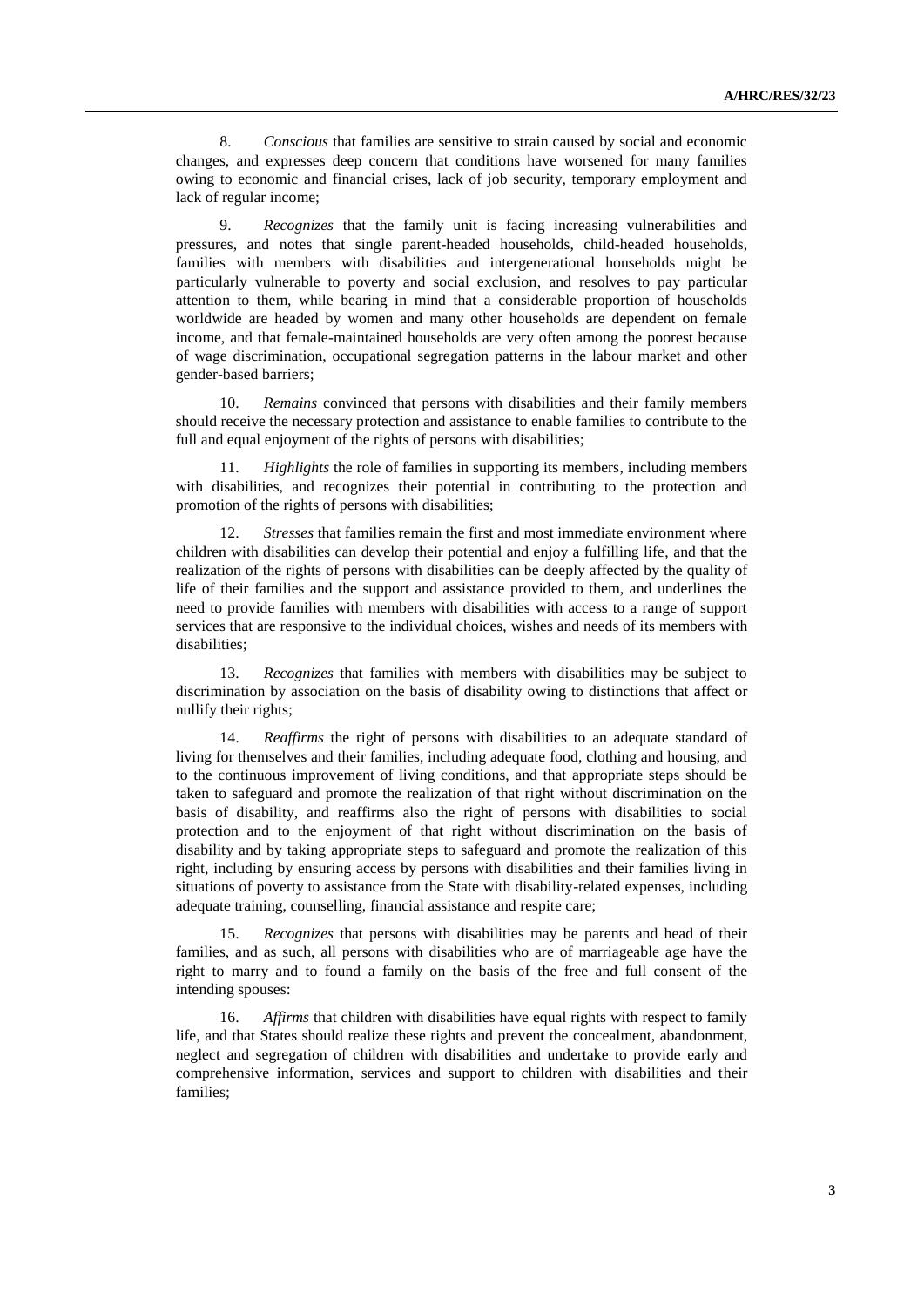8. *Conscious* that families are sensitive to strain caused by social and economic changes, and expresses deep concern that conditions have worsened for many families owing to economic and financial crises, lack of job security, temporary employment and lack of regular income;

9. *Recognizes* that the family unit is facing increasing vulnerabilities and pressures, and notes that single parent-headed households, child-headed households, families with members with disabilities and intergenerational households might be particularly vulnerable to poverty and social exclusion, and resolves to pay particular attention to them, while bearing in mind that a considerable proportion of households worldwide are headed by women and many other households are dependent on female income, and that female-maintained households are very often among the poorest because of wage discrimination, occupational segregation patterns in the labour market and other gender-based barriers;

10. *Remains* convinced that persons with disabilities and their family members should receive the necessary protection and assistance to enable families to contribute to the full and equal enjoyment of the rights of persons with disabilities;

11. *Highlights* the role of families in supporting its members, including members with disabilities, and recognizes their potential in contributing to the protection and promotion of the rights of persons with disabilities;

12. *Stresses* that families remain the first and most immediate environment where children with disabilities can develop their potential and enjoy a fulfilling life, and that the realization of the rights of persons with disabilities can be deeply affected by the quality of life of their families and the support and assistance provided to them, and underlines the need to provide families with members with disabilities with access to a range of support services that are responsive to the individual choices, wishes and needs of its members with disabilities;

13. *Recognizes* that families with members with disabilities may be subject to discrimination by association on the basis of disability owing to distinctions that affect or nullify their rights;

14. *Reaffirms* the right of persons with disabilities to an adequate standard of living for themselves and their families, including adequate food, clothing and housing, and to the continuous improvement of living conditions, and that appropriate steps should be taken to safeguard and promote the realization of that right without discrimination on the basis of disability, and reaffirms also the right of persons with disabilities to social protection and to the enjoyment of that right without discrimination on the basis of disability and by taking appropriate steps to safeguard and promote the realization of this right, including by ensuring access by persons with disabilities and their families living in situations of poverty to assistance from the State with disability-related expenses, including adequate training, counselling, financial assistance and respite care;

15. *Recognizes* that persons with disabilities may be parents and head of their families, and as such, all persons with disabilities who are of marriageable age have the right to marry and to found a family on the basis of the free and full consent of the intending spouses:

16. *Affirms* that children with disabilities have equal rights with respect to family life, and that States should realize these rights and prevent the concealment, abandonment, neglect and segregation of children with disabilities and undertake to provide early and comprehensive information, services and support to children with disabilities and their families;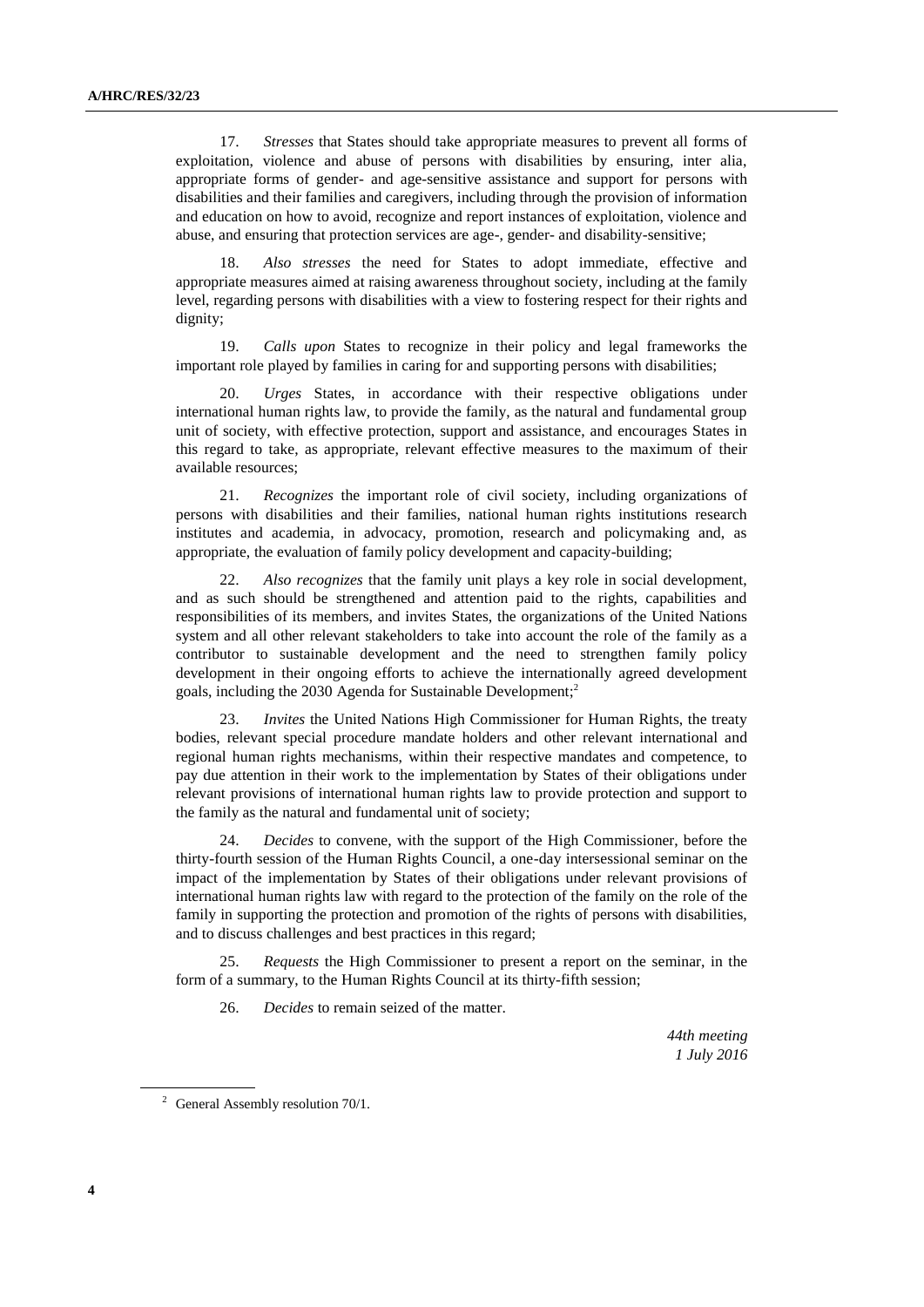17. *Stresses* that States should take appropriate measures to prevent all forms of exploitation, violence and abuse of persons with disabilities by ensuring, inter alia, appropriate forms of gender- and age-sensitive assistance and support for persons with disabilities and their families and caregivers, including through the provision of information and education on how to avoid, recognize and report instances of exploitation, violence and abuse, and ensuring that protection services are age-, gender- and disability-sensitive;

18. *Also stresses* the need for States to adopt immediate, effective and appropriate measures aimed at raising awareness throughout society, including at the family level, regarding persons with disabilities with a view to fostering respect for their rights and dignity;

19. *Calls upon* States to recognize in their policy and legal frameworks the important role played by families in caring for and supporting persons with disabilities;

20. *Urges* States, in accordance with their respective obligations under international human rights law, to provide the family, as the natural and fundamental group unit of society, with effective protection, support and assistance, and encourages States in this regard to take, as appropriate, relevant effective measures to the maximum of their available resources;

21. *Recognizes* the important role of civil society, including organizations of persons with disabilities and their families, national human rights institutions research institutes and academia, in advocacy, promotion, research and policymaking and, as appropriate, the evaluation of family policy development and capacity-building;

22. *Also recognizes* that the family unit plays a key role in social development, and as such should be strengthened and attention paid to the rights, capabilities and responsibilities of its members, and invites States, the organizations of the United Nations system and all other relevant stakeholders to take into account the role of the family as a contributor to sustainable development and the need to strengthen family policy development in their ongoing efforts to achieve the internationally agreed development goals, including the 2030 Agenda for Sustainable Development; 2

23. *Invites* the United Nations High Commissioner for Human Rights, the treaty bodies, relevant special procedure mandate holders and other relevant international and regional human rights mechanisms, within their respective mandates and competence, to pay due attention in their work to the implementation by States of their obligations under relevant provisions of international human rights law to provide protection and support to the family as the natural and fundamental unit of society;

24. *Decides* to convene, with the support of the High Commissioner, before the thirty-fourth session of the Human Rights Council, a one-day intersessional seminar on the impact of the implementation by States of their obligations under relevant provisions of international human rights law with regard to the protection of the family on the role of the family in supporting the protection and promotion of the rights of persons with disabilities, and to discuss challenges and best practices in this regard;

25. *Requests* the High Commissioner to present a report on the seminar, in the form of a summary, to the Human Rights Council at its thirty-fifth session;

26. *Decides* to remain seized of the matter.

*44th meeting 1 July 2016*

<sup>&</sup>lt;sup>2</sup> General Assembly resolution  $70/1$ .